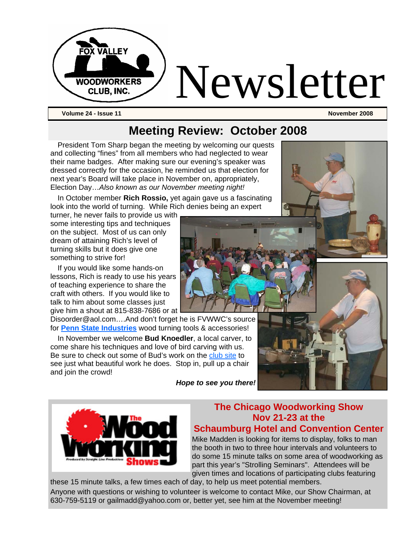

## **Meeting Review: October 2008**

President Tom Sharp began the meeting by welcoming our quests and collecting "fines" from all members who had neglected to wear their name badges. After making sure our evening's speaker was dressed correctly for the occasion, he reminded us that election for next year's Board will take place in November on, appropriately, Election Day…*Also known as our November meeting night!*

In October member **Rich Rossio,** yet again gave us a fascinating look into the world of turning. While Rich denies being an expert

turner, he never fails to provide us with some interesting tips and techniques on the subject. Most of us can only dream of attaining Rich's level of turning skills but it does give one something to strive for!

If you would like some hands-on lessons, Rich is ready to use his years of teaching experience to share the craft with others. If you would like to talk to him about some classes just give him a shout at 815-838-7686 or at

Disoorder@aol.com….And don't forget he is FVWWC's source for **Penn State Industries** wood turning tools & accessories!

In November we welcome **Bud Knoedler**, a local carver, to come share his techniques and love of bird carving with us. Be sure to check out some of Bud's work on the club site to see just what beautiful work he does. Stop in, pull up a chair and join the crowd!

*Hope to see you there!*





#### **The Chicago Woodworking Show Nov 21-23 at the Schaumburg Hotel and Convention Center**

Mike Madden is looking for items to display, folks to man the booth in two to three hour intervals and volunteers to do some 15 minute talks on some area of woodworking as part this year's "Strolling Seminars". Attendees will be given times and locations of participating clubs featuring

these 15 minute talks, a few times each of day, to help us meet potential members. Anyone with questions or wishing to volunteer is welcome to contact Mike, our Show Chairman, at 630-759-5119 or gailmadd@yahoo.com or, better yet, see him at the November meeting!

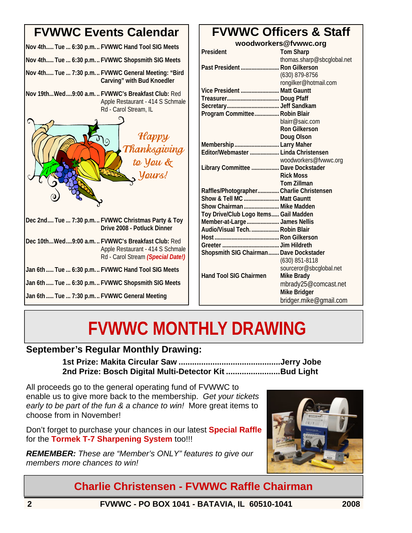## **FVWWC Events Calendar Nov 4th..... Tue ... 6:30 p.m... FVWWC Hand Tool SIG Meets Nov 4th..... Tue ... 6:30 p.m... FVWWC Shopsmith SIG Meets Nov 4th..... Tue ... 7:30 p.m... FVWWC General Meeting: "Bird Carving" with Bud Knoedler Nov 19th...Wed....9:00 a.m. .. FVWWC's Breakfast Club:** Red Apple Restaurant - 414 S Schmale Rd - Carol Stream, IL **Dec 2nd.... Tue ... 7:30 p.m... FVWWC Christmas Party & Toy Drive 2008 - Potluck Dinner Dec 10th...Wed....9:00 a.m. .. FVWWC's Breakfast Club:** Red Apple Restaurant - 414 S Schmale Rd - Carol Stream *(Special Date!)*  **Jan 6th ..... Tue ... 6:30 p.m... FVWWC Hand Tool SIG Meets Jan 6th ..... Tue ... 6:30 p.m... FVWWC Shopsmith SIG Meets Jan 6th ..... Tue ... 7:30 p.m... FVWWC General Meeting Happy** Thanksgiving to You & Yours!

## **FVWWC Officers & Staff**

| woodworkers@fvwwc.org                     |                            |
|-------------------------------------------|----------------------------|
| President                                 | <b>Tom Sharp</b>           |
|                                           | thomas.sharp@sbcglobal.net |
| Past President  Ron Gilkerson             |                            |
|                                           | (630) 879-8756             |
|                                           | rongilker@hotmail.com      |
| Vice President  Matt Gauntt               |                            |
|                                           |                            |
|                                           |                            |
| Program Committee Robin Blair             |                            |
|                                           | blairr@saic.com            |
|                                           | <b>Ron Gilkerson</b>       |
|                                           | Doug Olson                 |
| Membership  Larry Maher                   |                            |
| Editor/Webmaster  Linda Christensen       |                            |
|                                           | woodworkers@fvwwc.org      |
| <b>Library Committee  Dave Dockstader</b> |                            |
|                                           | <b>Rick Moss</b>           |
|                                           | <b>Tom Zillman</b>         |
| Raffles/Photographer Charlie Christensen  |                            |
| Show & Tell MC  Matt Gauntt               |                            |
| Show Chairman  Mike Madden                |                            |
| Toy Drive/Club Logo Items Gail Madden     |                            |
| Member-at-Large  James Nellis             |                            |
| Audio/Visual Tech.  Robin Blair           |                            |
|                                           |                            |
|                                           |                            |
| Shopsmith SIG Chairman Dave Dockstader    |                            |
|                                           | (630) 851-8118             |
|                                           | sourceror@sbcglobal.net    |
| <b>Hand Tool SIG Chairmen</b>             | <b>Mike Brady</b>          |
|                                           | mbrady25@comcast.net       |
|                                           | <b>Mike Bridger</b>        |
|                                           | bridger.mike@gmail.com     |

# **FVWWC MONTHLY DRAWING**

### **September's Regular Monthly Drawing:**

**1st Prize: Makita Circular Saw .............................................Jerry Jobe 2nd Prize: Bosch Digital Multi-Detector Kit ........................Bud Light** 

All proceeds go to the general operating fund of FVWWC to enable us to give more back to the membership. *Get your tickets early to be part of the fun & a chance to win!* More great items to choose from in November!

Don't forget to purchase your chances in our latest **Special Raffle**  for the **Tormek T-7 Sharpening System** too!!!

*REMEMBER: These are "Member's ONLY" features to give our members more chances to win!* 



**Charlie Christensen - FVWWC Raffle Chairman**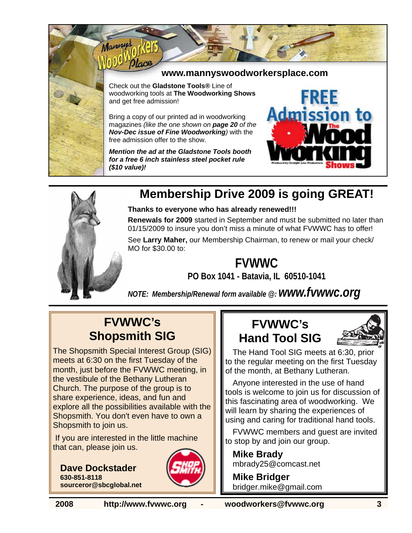

Manny

#### **www.mannyswoodworkersplace.com**

Check out the **Gladstone Tools®** Line of woodworking tools at **The Woodworking Shows** and get free admission!

Bring a copy of our printed ad in woodworking magazines *(like the one shown on page 20 of the Nov-Dec issue of Fine Woodworking)* with the free admission offer to the show.

*Mention the ad at the Gladstone Tools booth for a free 6 inch stainless steel pocket rule (\$10 value)!* 





## **Membership Drive 2009 is going GREAT!**

**Thanks to everyone who has already renewed!!!** 

**Renewals for 2009** started in September and must be submitted no later than 01/15/2009 to insure you don't miss a minute of what FVWWC has to offer!

See **Larry Maher,** our Membership Chairman, to renew or mail your check/ MO for \$30.00 to:

## **FVWWC**

**PO Box 1041 - Batavia, IL 60510-1041**

*NOTE: Membership/Renewal form available @: www.fvwwc.org*

## **FVWWC's Shopsmith SIG**

The Shopsmith Special Interest Group (SIG) meets at 6:30 on the first Tuesday of the month, just before the FVWWC meeting, in the vestibule of the Bethany Lutheran Church. The purpose of the group is to share experience, ideas, and fun and explore all the possibilities available with the Shopsmith. You don't even have to own a Shopsmith to join us.

 If you are interested in the little machine that can, please join us.

**Dave Dockstader 630-851-8118 sourceror@sbcglobal.net**



## **FVWWC's Hand Tool SIG**



The Hand Tool SIG meets at 6:30, prior to the regular meeting on the first Tuesday of the month, at Bethany Lutheran.

Anyone interested in the use of hand tools is welcome to join us for discussion of this fascinating area of woodworking. We will learn by sharing the experiences of using and caring for traditional hand tools.

FVWWC members and guest are invited to stop by and join our group.

**Mike Brady**  mbrady25@comcast.net

**Mike Bridger**  bridger.mike@gmail.com

**2008 http://www.fvwwc.org - woodworkers@fvwwc.org 3**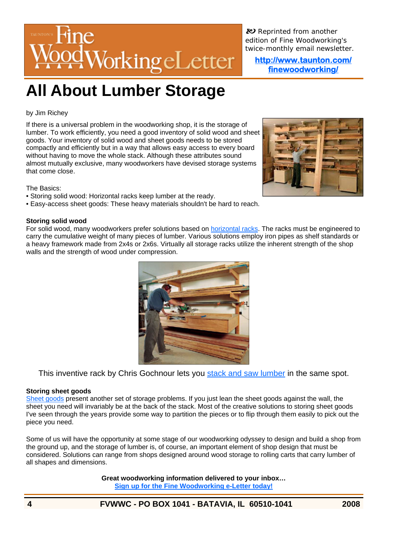

*R Reprinted from another edition of Fine Woodworking's twice-monthly email newsletter.* 

**http://www.taunton.com/ finewoodworking/** 

## **All About Lumber Storage**

#### by Jim Richey

If there is a universal problem in the woodworking shop, it is the storage of lumber. To work efficiently, you need a good inventory of solid wood and sheet goods. Your inventory of solid wood and sheet goods needs to be stored compactly and efficiently but in a way that allows easy access to every board without having to move the whole stack. Although these attributes sound almost mutually exclusive, many woodworkers have devised storage systems that come close.



The Basics:

- Storing solid wood: Horizontal racks keep lumber at the ready.
- Easy-access sheet goods: These heavy materials shouldn't be hard to reach.

#### **Storing solid wood**

For solid wood, many woodworkers prefer solutions based on horizontal racks. The racks must be engineered to carry the cumulative weight of many pieces of lumber. Various solutions employ iron pipes as shelf standards or a heavy framework made from 2x4s or 2x6s. Virtually all storage racks utilize the inherent strength of the shop walls and the strength of wood under compression.



This inventive rack by Chris Gochnour lets you stack and saw lumber in the same spot.

#### **Storing sheet goods**

Sheet goods present another set of storage problems. If you just lean the sheet goods against the wall, the sheet you need will invariably be at the back of the stack. Most of the creative solutions to storing sheet goods I've seen through the years provide some way to partition the pieces or to flip through them easily to pick out the piece you need.

Some of us will have the opportunity at some stage of our woodworking odyssey to design and build a shop from the ground up, and the storage of lumber is, of course, an important element of shop design that must be considered. Solutions can range from shops designed around wood storage to rolling carts that carry lumber of all shapes and dimensions.

> **Great woodworking information delivered to your inbox… Sign up for the Fine Woodworking e-Letter today!**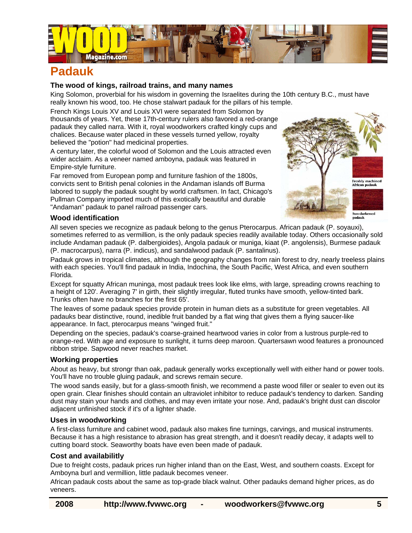

## **Padauk**

#### **The wood of kings, railroad trains, and many names**

King Solomon, proverbial for his wisdom in governing the Israelites during the 10th century B.C., must have really known his wood, too. He chose stalwart padauk for the pillars of his temple.

French Kings Louis XV and Louis XVI were separated from Solomon by thousands of years. Yet, these 17th-century rulers also favored a red-orange padauk they called narra. With it, royal woodworkers crafted kingly cups and chalices. Because water placed in these vessels turned yellow, royalty believed the "potion" had medicinal properties.

A century later, the colorful wood of Solomon and the Louis attracted even wider acclaim. As a veneer named amboyna, padauk was featured in Empire-style furniture.

Far removed from European pomp and furniture fashion of the 1800s, convicts sent to British penal colonies in the Andaman islands off Burma labored to supply the padauk sought by world craftsmen. In fact, Chicago's Pullman Company imported much of this exotically beautiful and durable "Andaman" padauk to panel railroad passenger cars.



#### **Wood identification**

All seven species we recognize as padauk belong to the genus Pterocarpus. African padauk (P. soyauxi), sometimes referred to as vermillion, is the only padauk species readily available today. Others occasionally sold include Andaman padauk (P. dalbergioides), Angola padauk or muniga, kiaat (P. angolensis), Burmese padauk (P. macrocarpus), narra (P. indicus), and sandalwood padauk (P. santalinus).

Padauk grows in tropical climates, although the geography changes from rain forest to dry, nearly treeless plains with each species. You'll find padauk in India, Indochina, the South Pacific, West Africa, and even southern Florida.

Except for squatty African muninga, most padauk trees look like elms, with large, spreading crowns reaching to a height of 120'. Averaging 7' in girth, their slightly irregular, fluted trunks have smooth, yellow-tinted bark. Trunks often have no branches for the first 65'.

The leaves of some padauk species provide protein in human diets as a substitute for green vegetables. All padauks bear distinctive, round, inedible fruit banded by a flat wing that gives them a flying saucer-like appearance. In fact, pterocarpus means "winged fruit."

Depending on the species, padauk's coarse-grained heartwood varies in color from a lustrous purple-red to orange-red. With age and exposure to sunlight, it turns deep maroon. Quartersawn wood features a pronounced ribbon stripe. Sapwood never reaches market.

#### **Working properties**

About as heavy, but strongr than oak, padauk generally works exceptionally well with either hand or power tools. You'll have no trouble gluing padauk, and screws remain secure.

The wood sands easily, but for a glass-smooth finish, we recommend a paste wood filler or sealer to even out its open grain. Clear finishes should contain an ultraviolet inhibitor to reduce padauk's tendency to darken. Sanding dust may stain your hands and clothes, and may even irritate your nose. And, padauk's bright dust can discolor adjacent unfinished stock if it's of a lighter shade.

#### **Uses in woodworking**

A first-class furniture and cabinet wood, padauk also makes fine turnings, carvings, and musical instruments. Because it has a high resistance to abrasion has great strength, and it doesn't readily decay, it adapts well to cutting board stock. Seaworthy boats have even been made of padauk.

#### **Cost and availabilitly**

Due to freight costs, padauk prices run higher inland than on the East, West, and southern coasts. Except for Amboyna burl and vermillion, little padauk becomes veneer.

African padauk costs about the same as top-grade black walnut. Other padauks demand higher prices, as do veneers.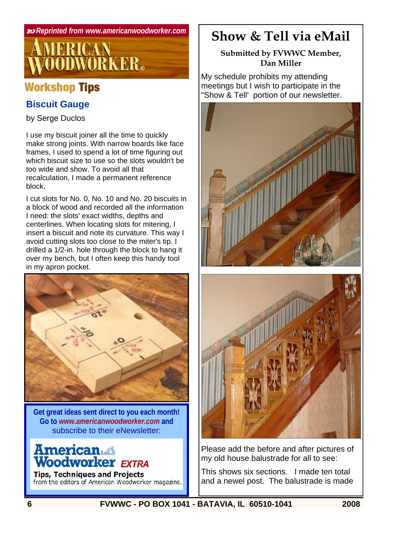

## **Workshop Tips**

## **Biscuit Gauge**

by Serge Duclos

I use my biscuit joiner all the time to quickly make strong joints. With narrow boards like face frames, I used to spend a lot of time figuring out which biscuit size to use so the slots wouldn't be too wide and show. To avoid all that recalculation, I made a permanent reference block.

I cut slots for No. 0, No. 10 and No. 20 biscuits in a block of wood and recorded all the information I need: the slots' exact widths, depths and centerlines. When locating slots for mitering, I insert a biscuit and note its curvature. This way I avoid cutting slots too close to the miter's tip. I drilled a 1/2-in. hole through the block to hang it over my bench, but I often keep this handy tool in my apron pocket.



**Get great ideas sent direct to you each month! Go to** *www.americanwoodworker.com* **and**  subscribe to their eNewsletter:

# **American**<br>Woodworker EXTRA

**Tips, Techniques and Projects** from the editors of American Woodworker magazine.

## **Show & Tell via eMail**

#### **Submitted by FVWWC Member, Dan Miller**

My schedule prohibits my attending meetings but I wish to participate in the "Show & Tell' portion of our newsletter.





Please add the before and after pictures of my old house balustrade for all to see:

This shows six sections. I made ten total and a newel post. The balustrade is made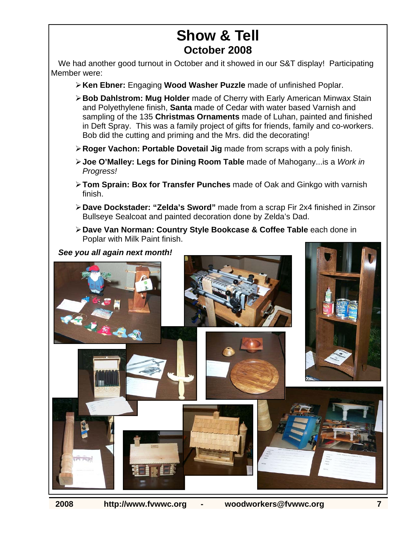## **Show & Tell October 2008**

We had another good turnout in October and it showed in our S&T display! Participating Member were:

- ¾ **Ken Ebner:** Engaging **Wood Washer Puzzle** made of unfinished Poplar.
- ¾ **Bob Dahlstrom: Mug Holder** made of Cherry with Early American Minwax Stain and Polyethylene finish, **Santa** made of Cedar with water based Varnish and sampling of the 135 **Christmas Ornaments** made of Luhan, painted and finished in Deft Spray. This was a family project of gifts for friends, family and co-workers. Bob did the cutting and priming and the Mrs. did the decorating!
- ¾ **Roger Vachon: Portable Dovetail Jig** made from scraps with a poly finish.
- ¾ **Joe O'Malley: Legs for Dining Room Table** made of Mahogany...is a *Work in Progress!*
- ¾ **Tom Sprain: Box for Transfer Punches** made of Oak and Ginkgo with varnish finish.
- ¾ **Dave Dockstader: "Zelda's Sword"** made from a scrap Fir 2x4 finished in Zinsor Bullseye Sealcoat and painted decoration done by Zelda's Dad.
- ¾ **Dave Van Norman: Country Style Bookcase & Coffee Table** each done in Poplar with Milk Paint finish.

*See you all again next month!* m  $n$ nal